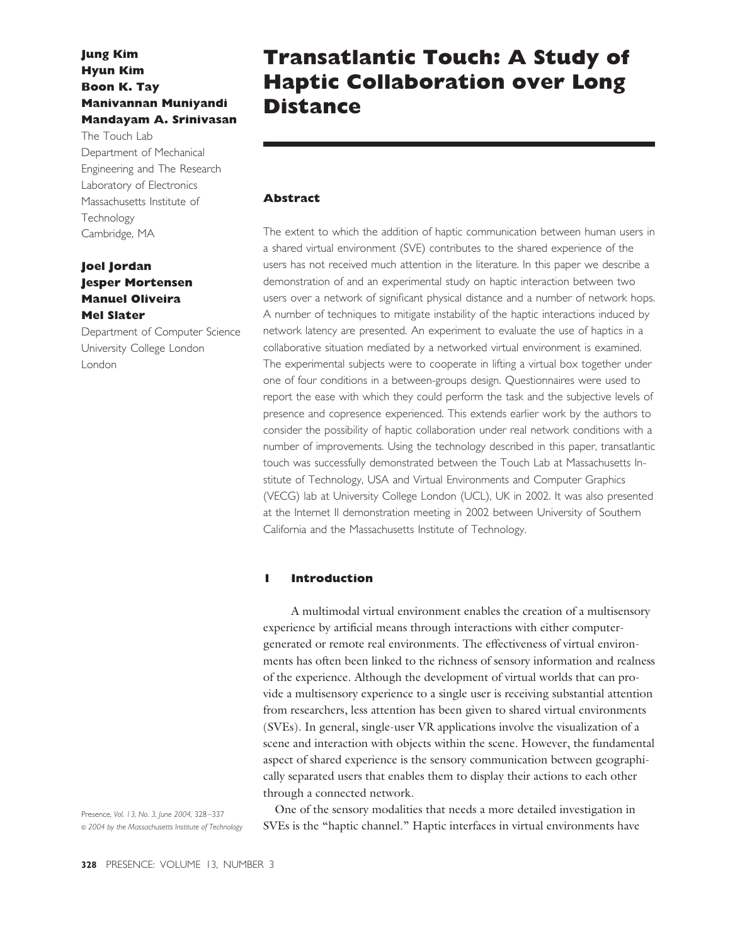# **Jung Kim Hyun Kim Boon K. Tay Manivannan Muniyandi Mandayam A. Srinivasan**

The Touch Lab Department of Mechanical Engineering and The Research Laboratory of Electronics Massachusetts Institute of **Technology** Cambridge, MA

## **Joel Jordan Jesper Mortensen Manuel Oliveira Mel Slater**

Department of Computer Science University College London London

# **Transatlantic Touch: A Study of Haptic Collaboration over Long Distance**

## **Abstract**

The extent to which the addition of haptic communication between human users in a shared virtual environment (SVE) contributes to the shared experience of the users has not received much attention in the literature. In this paper we describe a demonstration of and an experimental study on haptic interaction between two users over a network of significant physical distance and a number of network hops. A number of techniques to mitigate instability of the haptic interactions induced by network latency are presented. An experiment to evaluate the use of haptics in a collaborative situation mediated by a networked virtual environment is examined. The experimental subjects were to cooperate in lifting a virtual box together under one of four conditions in a between-groups design. Questionnaires were used to report the ease with which they could perform the task and the subjective levels of presence and copresence experienced. This extends earlier work by the authors to consider the possibility of haptic collaboration under real network conditions with a number of improvements. Using the technology described in this paper, transatlantic touch was successfully demonstrated between the Touch Lab at Massachusetts Institute of Technology, USA and Virtual Environments and Computer Graphics (VECG) lab at University College London (UCL), UK in 2002. It was also presented at the Internet II demonstration meeting in 2002 between University of Southern California and the Massachusetts Institute of Technology.

## **1 Introduction**

A multimodal virtual environment enables the creation of a multisensory experience by artificial means through interactions with either computergenerated or remote real environments. The effectiveness of virtual environments has often been linked to the richness of sensory information and realness of the experience. Although the development of virtual worlds that can provide a multisensory experience to a single user is receiving substantial attention from researchers, less attention has been given to shared virtual environments (SVEs). In general, single-user VR applications involve the visualization of a scene and interaction with objects within the scene. However, the fundamental aspect of shared experience is the sensory communication between geographically separated users that enables them to display their actions to each other through a connected network.

Presence, *Vol. 13, No. 3, June 2004,* 328 –337 © *2004 by the Massachusetts Institute of Technology*

One of the sensory modalities that needs a more detailed investigation in SVEs is the "haptic channel." Haptic interfaces in virtual environments have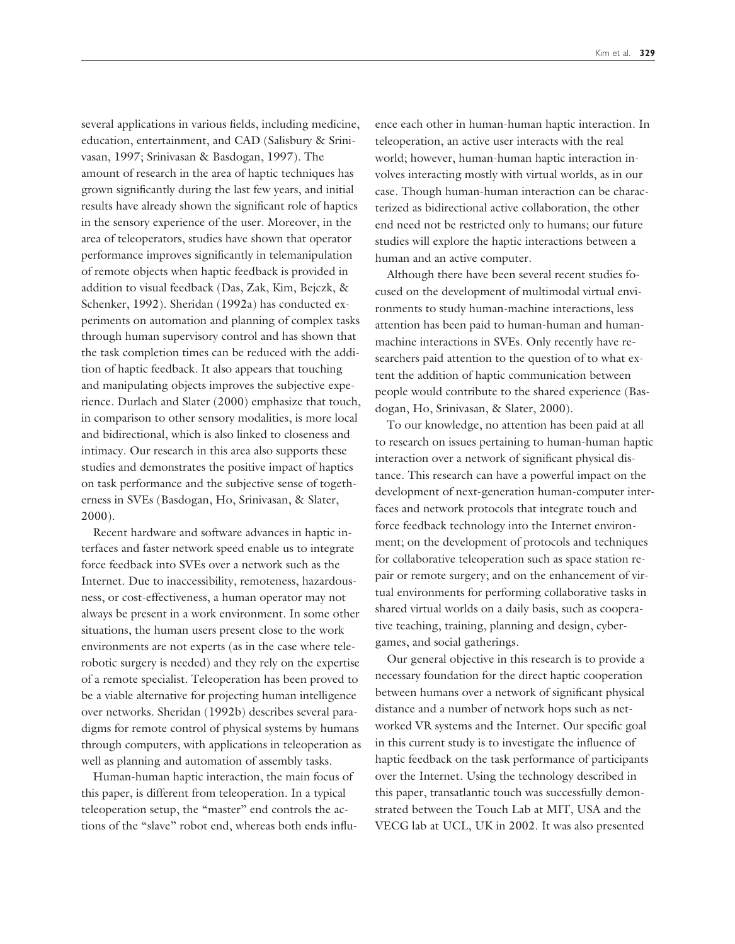several applications in various fields, including medicine, education, entertainment, and CAD (Salisbury & Srinivasan, 1997; Srinivasan & Basdogan, 1997). The amount of research in the area of haptic techniques has grown significantly during the last few years, and initial results have already shown the significant role of haptics in the sensory experience of the user. Moreover, in the area of teleoperators, studies have shown that operator performance improves significantly in telemanipulation of remote objects when haptic feedback is provided in addition to visual feedback (Das, Zak, Kim, Bejczk, & Schenker, 1992). Sheridan (1992a) has conducted experiments on automation and planning of complex tasks through human supervisory control and has shown that the task completion times can be reduced with the addition of haptic feedback. It also appears that touching and manipulating objects improves the subjective experience. Durlach and Slater (2000) emphasize that touch, in comparison to other sensory modalities, is more local and bidirectional, which is also linked to closeness and intimacy. Our research in this area also supports these studies and demonstrates the positive impact of haptics on task performance and the subjective sense of togetherness in SVEs (Basdogan, Ho, Srinivasan, & Slater, 2000).

Recent hardware and software advances in haptic interfaces and faster network speed enable us to integrate force feedback into SVEs over a network such as the Internet. Due to inaccessibility, remoteness, hazardousness, or cost-effectiveness, a human operator may not always be present in a work environment. In some other situations, the human users present close to the work environments are not experts (as in the case where telerobotic surgery is needed) and they rely on the expertise of a remote specialist. Teleoperation has been proved to be a viable alternative for projecting human intelligence over networks. Sheridan (1992b) describes several paradigms for remote control of physical systems by humans through computers, with applications in teleoperation as well as planning and automation of assembly tasks.

Human-human haptic interaction, the main focus of this paper, is different from teleoperation. In a typical teleoperation setup, the "master" end controls the actions of the "slave" robot end, whereas both ends influence each other in human-human haptic interaction. In teleoperation, an active user interacts with the real world; however, human-human haptic interaction involves interacting mostly with virtual worlds, as in our case. Though human-human interaction can be characterized as bidirectional active collaboration, the other end need not be restricted only to humans; our future studies will explore the haptic interactions between a human and an active computer.

Although there have been several recent studies focused on the development of multimodal virtual environments to study human-machine interactions, less attention has been paid to human-human and humanmachine interactions in SVEs. Only recently have researchers paid attention to the question of to what extent the addition of haptic communication between people would contribute to the shared experience (Basdogan, Ho, Srinivasan, & Slater, 2000).

To our knowledge, no attention has been paid at all to research on issues pertaining to human-human haptic interaction over a network of significant physical distance. This research can have a powerful impact on the development of next-generation human-computer interfaces and network protocols that integrate touch and force feedback technology into the Internet environment; on the development of protocols and techniques for collaborative teleoperation such as space station repair or remote surgery; and on the enhancement of virtual environments for performing collaborative tasks in shared virtual worlds on a daily basis, such as cooperative teaching, training, planning and design, cybergames, and social gatherings.

Our general objective in this research is to provide a necessary foundation for the direct haptic cooperation between humans over a network of significant physical distance and a number of network hops such as networked VR systems and the Internet. Our specific goal in this current study is to investigate the influence of haptic feedback on the task performance of participants over the Internet. Using the technology described in this paper, transatlantic touch was successfully demonstrated between the Touch Lab at MIT, USA and the VECG lab at UCL, UK in 2002. It was also presented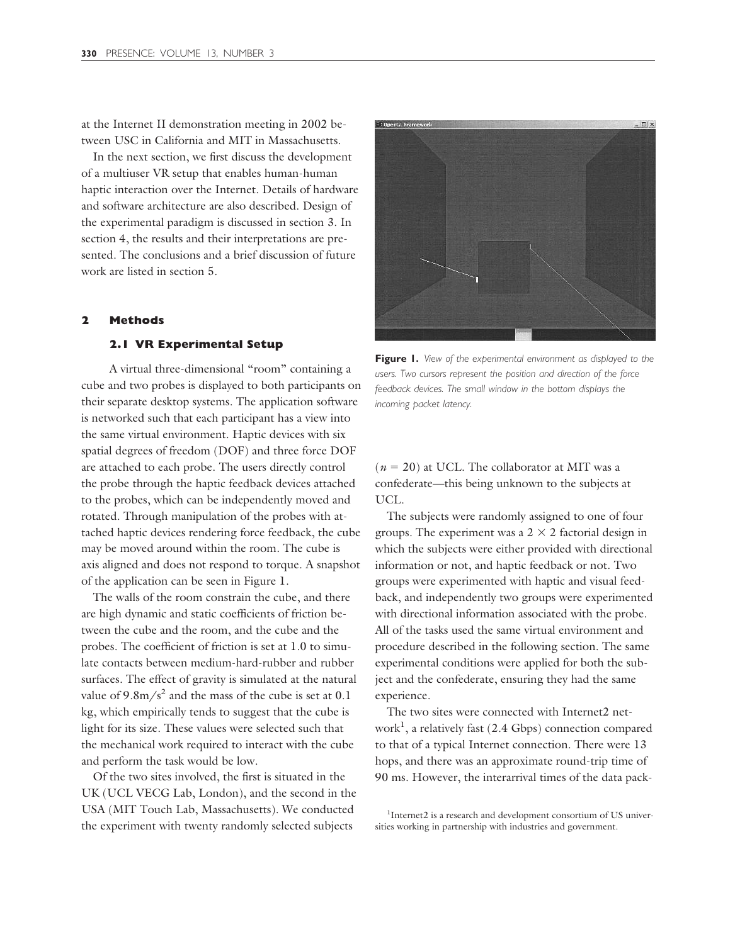at the Internet II demonstration meeting in 2002 between USC in California and MIT in Massachusetts.

In the next section, we first discuss the development of a multiuser VR setup that enables human-human haptic interaction over the Internet. Details of hardware and software architecture are also described. Design of the experimental paradigm is discussed in section 3. In section 4, the results and their interpretations are presented. The conclusions and a brief discussion of future work are listed in section 5.

#### **2 Methods**

#### **2.1 VR Experimental Setup**

A virtual three-dimensional "room" containing a cube and two probes is displayed to both participants on their separate desktop systems. The application software is networked such that each participant has a view into the same virtual environment. Haptic devices with six spatial degrees of freedom (DOF) and three force DOF are attached to each probe. The users directly control the probe through the haptic feedback devices attached to the probes, which can be independently moved and rotated. Through manipulation of the probes with attached haptic devices rendering force feedback, the cube may be moved around within the room. The cube is axis aligned and does not respond to torque. A snapshot of the application can be seen in Figure 1.

The walls of the room constrain the cube, and there are high dynamic and static coefficients of friction between the cube and the room, and the cube and the probes. The coefficient of friction is set at 1.0 to simulate contacts between medium-hard-rubber and rubber surfaces. The effect of gravity is simulated at the natural value of  $9.8 \text{m/s}^2$  and the mass of the cube is set at 0.1 kg, which empirically tends to suggest that the cube is light for its size. These values were selected such that the mechanical work required to interact with the cube and perform the task would be low.

Of the two sites involved, the first is situated in the UK (UCL VECG Lab, London), and the second in the USA (MIT Touch Lab, Massachusetts). We conducted the experiment with twenty randomly selected subjects



**Figure 1.** *View of the experimental environment as displayed to the users. Two cursors represent the position and direction of the force feedback devices. The small window in the bottom displays the incoming packet latency.*

 $(n = 20)$  at UCL. The collaborator at MIT was a confederate—this being unknown to the subjects at UCL.

The subjects were randomly assigned to one of four groups. The experiment was a  $2 \times 2$  factorial design in which the subjects were either provided with directional information or not, and haptic feedback or not. Two groups were experimented with haptic and visual feedback, and independently two groups were experimented with directional information associated with the probe. All of the tasks used the same virtual environment and procedure described in the following section. The same experimental conditions were applied for both the subject and the confederate, ensuring they had the same experience.

The two sites were connected with Internet2 network<sup>1</sup> , a relatively fast (2.4 Gbps) connection compared to that of a typical Internet connection. There were 13 hops, and there was an approximate round-trip time of 90 ms. However, the interarrival times of the data pack-

<sup>&</sup>lt;sup>1</sup>Internet2 is a research and development consortium of US universities working in partnership with industries and government.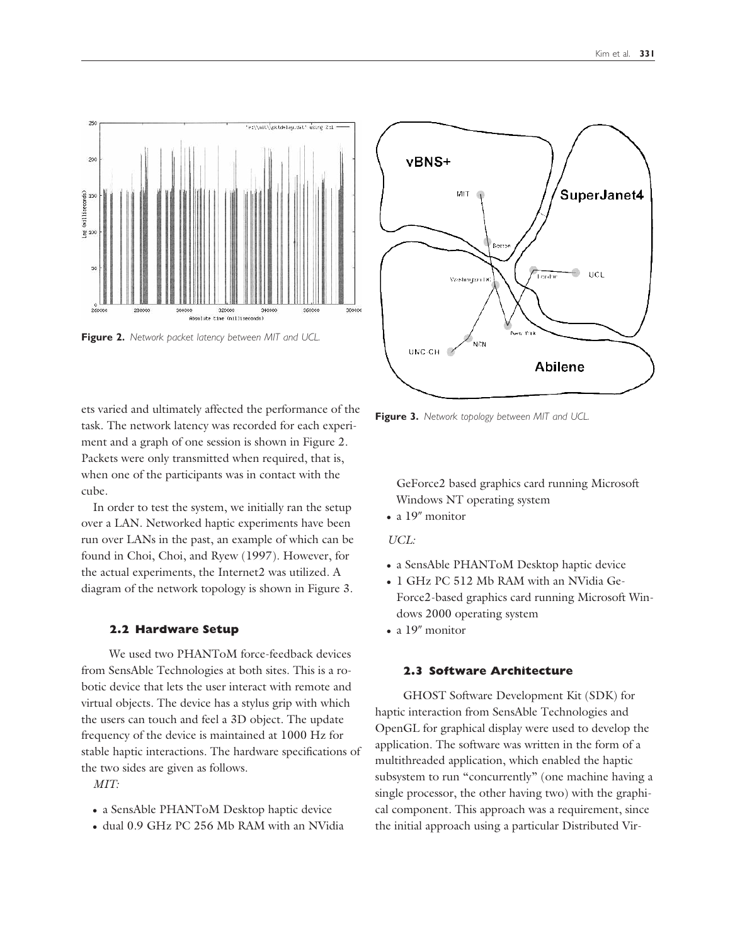

**Figure 2.** *Network packet latency between MIT and UCL.*

ets varied and ultimately affected the performance of the task. The network latency was recorded for each experiment and a graph of one session is shown in Figure 2. Packets were only transmitted when required, that is, when one of the participants was in contact with the cube.

In order to test the system, we initially ran the setup over a LAN. Networked haptic experiments have been run over LANs in the past, an example of which can be found in Choi, Choi, and Ryew (1997). However, for the actual experiments, the Internet2 was utilized. A diagram of the network topology is shown in Figure 3.

### **2.2 Hardware Setup**

We used two PHANToM force-feedback devices from SensAble Technologies at both sites. This is a robotic device that lets the user interact with remote and virtual objects. The device has a stylus grip with which the users can touch and feel a 3D object. The update frequency of the device is maintained at 1000 Hz for stable haptic interactions. The hardware specifications of the two sides are given as follows.

*MIT:*

- a SensAble PHANToM Desktop haptic device
- dual 0.9 GHz PC 256 Mb RAM with an NVidia



**Figure 3.** *Network topology between MIT and UCL.*

GeForce2 based graphics card running Microsoft Windows NT operating system

 $\bullet$  a 19" monitor

#### *UCL:*

- a SensAble PHANToM Desktop haptic device
- 1 GHz PC 512 Mb RAM with an NVidia Ge-Force2-based graphics card running Microsoft Windows 2000 operating system
- $\bullet$  a 19" monitor

## **2.3 Software Architecture**

GHOST Software Development Kit (SDK) for haptic interaction from SensAble Technologies and OpenGL for graphical display were used to develop the application. The software was written in the form of a multithreaded application, which enabled the haptic subsystem to run "concurrently" (one machine having a single processor, the other having two) with the graphical component. This approach was a requirement, since the initial approach using a particular Distributed Vir-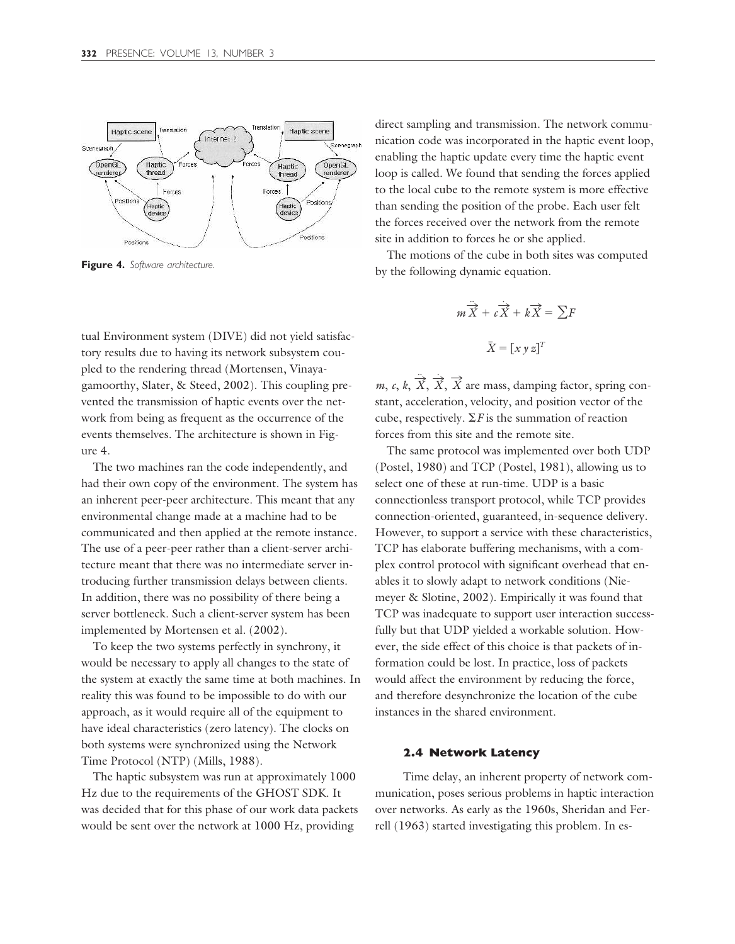

**Figure 4.** *Software architecture.*

tual Environment system (DIVE) did not yield satisfactory results due to having its network subsystem coupled to the rendering thread (Mortensen, Vinayagamoorthy, Slater, & Steed, 2002). This coupling prevented the transmission of haptic events over the network from being as frequent as the occurrence of the events themselves. The architecture is shown in Figure 4.

The two machines ran the code independently, and had their own copy of the environment. The system has an inherent peer-peer architecture. This meant that any environmental change made at a machine had to be communicated and then applied at the remote instance. The use of a peer-peer rather than a client-server architecture meant that there was no intermediate server introducing further transmission delays between clients. In addition, there was no possibility of there being a server bottleneck. Such a client-server system has been implemented by Mortensen et al. (2002).

To keep the two systems perfectly in synchrony, it would be necessary to apply all changes to the state of the system at exactly the same time at both machines. In reality this was found to be impossible to do with our approach, as it would require all of the equipment to have ideal characteristics (zero latency). The clocks on both systems were synchronized using the Network Time Protocol (NTP) (Mills, 1988).

The haptic subsystem was run at approximately 1000 Hz due to the requirements of the GHOST SDK. It was decided that for this phase of our work data packets would be sent over the network at 1000 Hz, providing

direct sampling and transmission. The network communication code was incorporated in the haptic event loop, enabling the haptic update every time the haptic event loop is called. We found that sending the forces applied to the local cube to the remote system is more effective than sending the position of the probe. Each user felt the forces received over the network from the remote site in addition to forces he or she applied.

The motions of the cube in both sites was computed by the following dynamic equation.

$$
m\ddot{\overrightarrow{X}} + c\dot{\overrightarrow{X}} + k\overrightarrow{X} = \sum F
$$

$$
\overrightarrow{X} = [x y z]^T
$$

*m*, *c*, *k*,  $\overrightarrow{X}$ ,  $\overrightarrow{X}$ ,  $\overrightarrow{X}$  are mass, damping factor, spring constant, acceleration, velocity, and position vector of the cube, respectively.  $\Sigma F$  is the summation of reaction forces from this site and the remote site.

The same protocol was implemented over both UDP (Postel, 1980) and TCP (Postel, 1981), allowing us to select one of these at run-time. UDP is a basic connectionless transport protocol, while TCP provides connection-oriented, guaranteed, in-sequence delivery. However, to support a service with these characteristics, TCP has elaborate buffering mechanisms, with a complex control protocol with significant overhead that enables it to slowly adapt to network conditions (Niemeyer & Slotine, 2002). Empirically it was found that TCP was inadequate to support user interaction successfully but that UDP yielded a workable solution. However, the side effect of this choice is that packets of information could be lost. In practice, loss of packets would affect the environment by reducing the force, and therefore desynchronize the location of the cube instances in the shared environment.

#### **2.4 Network Latency**

Time delay, an inherent property of network communication, poses serious problems in haptic interaction over networks. As early as the 1960s, Sheridan and Ferrell (1963) started investigating this problem. In es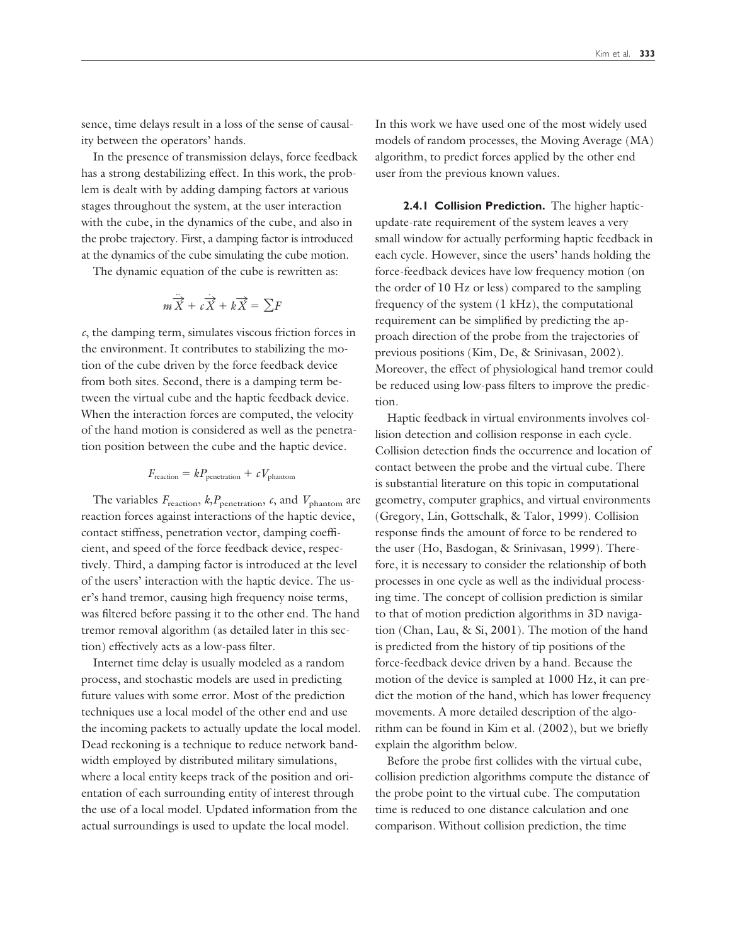sence, time delays result in a loss of the sense of causality between the operators' hands.

In the presence of transmission delays, force feedback has a strong destabilizing effect. In this work, the problem is dealt with by adding damping factors at various stages throughout the system, at the user interaction with the cube, in the dynamics of the cube, and also in the probe trajectory. First, a damping factor is introduced at the dynamics of the cube simulating the cube motion.

The dynamic equation of the cube is rewritten as:

$$
m\ddot{\overrightarrow{X}} + c\dot{\overrightarrow{X}} + k\dot{\overrightarrow{X}} = \sum F
$$

*c*, the damping term, simulates viscous friction forces in the environment. It contributes to stabilizing the motion of the cube driven by the force feedback device from both sites. Second, there is a damping term between the virtual cube and the haptic feedback device. When the interaction forces are computed, the velocity of the hand motion is considered as well as the penetration position between the cube and the haptic device.

$$
F_{\text{reaction}} = k P_{\text{penstration}} + c V_{\text{phantom}}
$$

The variables  $F_{\text{reaction}}$ ,  $k, P_{\text{penetration}}$ ,  $c$ , and  $V_{\text{phantom}}$  are reaction forces against interactions of the haptic device, contact stiffness, penetration vector, damping coefficient, and speed of the force feedback device, respectively. Third, a damping factor is introduced at the level of the users' interaction with the haptic device. The user's hand tremor, causing high frequency noise terms, was filtered before passing it to the other end. The hand tremor removal algorithm (as detailed later in this section) effectively acts as a low-pass filter.

Internet time delay is usually modeled as a random process, and stochastic models are used in predicting future values with some error. Most of the prediction techniques use a local model of the other end and use the incoming packets to actually update the local model. Dead reckoning is a technique to reduce network bandwidth employed by distributed military simulations, where a local entity keeps track of the position and orientation of each surrounding entity of interest through the use of a local model. Updated information from the actual surroundings is used to update the local model.

In this work we have used one of the most widely used models of random processes, the Moving Average (MA) algorithm, to predict forces applied by the other end user from the previous known values.

**2.4.1 Collision Prediction.** The higher hapticupdate-rate requirement of the system leaves a very small window for actually performing haptic feedback in each cycle. However, since the users' hands holding the force-feedback devices have low frequency motion (on the order of 10 Hz or less) compared to the sampling frequency of the system (1 kHz), the computational requirement can be simplified by predicting the approach direction of the probe from the trajectories of previous positions (Kim, De, & Srinivasan, 2002). Moreover, the effect of physiological hand tremor could be reduced using low-pass filters to improve the prediction.

Haptic feedback in virtual environments involves collision detection and collision response in each cycle. Collision detection finds the occurrence and location of contact between the probe and the virtual cube. There is substantial literature on this topic in computational geometry, computer graphics, and virtual environments (Gregory, Lin, Gottschalk, & Talor, 1999). Collision response finds the amount of force to be rendered to the user (Ho, Basdogan, & Srinivasan, 1999). Therefore, it is necessary to consider the relationship of both processes in one cycle as well as the individual processing time. The concept of collision prediction is similar to that of motion prediction algorithms in 3D navigation (Chan, Lau, & Si, 2001). The motion of the hand is predicted from the history of tip positions of the force-feedback device driven by a hand. Because the motion of the device is sampled at 1000 Hz, it can predict the motion of the hand, which has lower frequency movements. A more detailed description of the algorithm can be found in Kim et al. (2002), but we briefly explain the algorithm below.

Before the probe first collides with the virtual cube, collision prediction algorithms compute the distance of the probe point to the virtual cube. The computation time is reduced to one distance calculation and one comparison. Without collision prediction, the time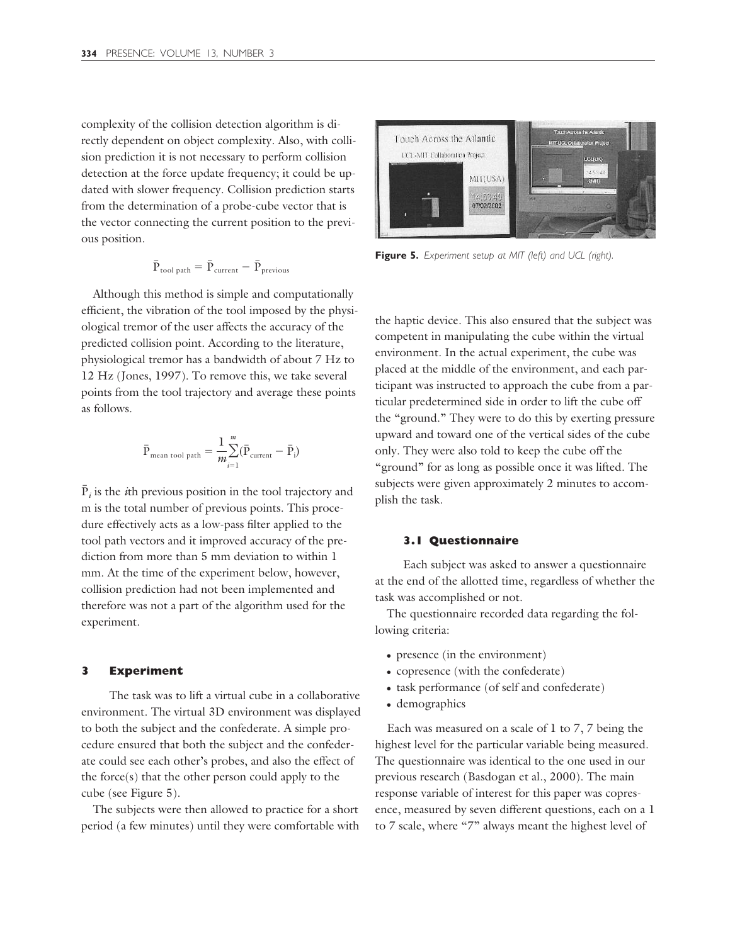complexity of the collision detection algorithm is directly dependent on object complexity. Also, with collision prediction it is not necessary to perform collision detection at the force update frequency; it could be updated with slower frequency. Collision prediction starts from the determination of a probe-cube vector that is the vector connecting the current position to the previous position.

$$
\bar{P}_{\text{tool path}} = \bar{P}_{\text{current}} - \bar{P}_{\text{previous}}
$$

Although this method is simple and computationally efficient, the vibration of the tool imposed by the physiological tremor of the user affects the accuracy of the predicted collision point. According to the literature, physiological tremor has a bandwidth of about 7 Hz to 12 Hz (Jones, 1997). To remove this, we take several points from the tool trajectory and average these points as follows.

$$
\bar{P}_{mean\; tool\;path} = \frac{1}{m} \!\!\! \sum_{i=1}^{m} (\bar{P}_{current} - \bar{P}_i)
$$

 $\bar{P}_i$  is the *i*th previous position in the tool trajectory and m is the total number of previous points. This procedure effectively acts as a low-pass filter applied to the tool path vectors and it improved accuracy of the prediction from more than 5 mm deviation to within 1 mm. At the time of the experiment below, however, collision prediction had not been implemented and therefore was not a part of the algorithm used for the experiment.

### **3 Experiment**

The task was to lift a virtual cube in a collaborative environment. The virtual 3D environment was displayed to both the subject and the confederate. A simple procedure ensured that both the subject and the confederate could see each other's probes, and also the effect of the force(s) that the other person could apply to the cube (see Figure 5).

The subjects were then allowed to practice for a short period (a few minutes) until they were comfortable with



**Figure 5.** *Experiment setup at MIT (left) and UCL (right).*

the haptic device. This also ensured that the subject was competent in manipulating the cube within the virtual environment. In the actual experiment, the cube was placed at the middle of the environment, and each participant was instructed to approach the cube from a particular predetermined side in order to lift the cube off the "ground." They were to do this by exerting pressure upward and toward one of the vertical sides of the cube only. They were also told to keep the cube off the "ground" for as long as possible once it was lifted. The subjects were given approximately 2 minutes to accomplish the task.

#### **3.1 Questionnaire**

Each subject was asked to answer a questionnaire at the end of the allotted time, regardless of whether the task was accomplished or not.

The questionnaire recorded data regarding the following criteria:

- presence (in the environment)
- copresence (with the confederate)
- task performance (of self and confederate)
- demographics

Each was measured on a scale of 1 to 7, 7 being the highest level for the particular variable being measured. The questionnaire was identical to the one used in our previous research (Basdogan et al., 2000). The main response variable of interest for this paper was copresence, measured by seven different questions, each on a 1 to 7 scale, where "7" always meant the highest level of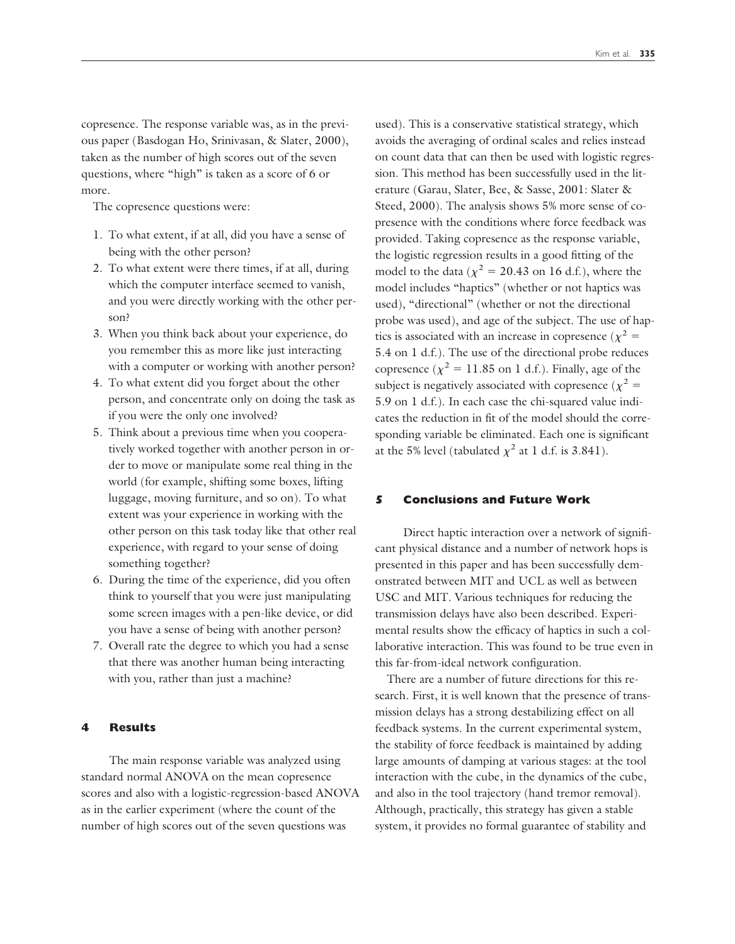copresence. The response variable was, as in the previous paper (Basdogan Ho, Srinivasan, & Slater, 2000), taken as the number of high scores out of the seven questions, where "high" is taken as a score of 6 or more.

The copresence questions were:

- 1. To what extent, if at all, did you have a sense of being with the other person?
- 2. To what extent were there times, if at all, during which the computer interface seemed to vanish, and you were directly working with the other person?
- 3. When you think back about your experience, do you remember this as more like just interacting with a computer or working with another person?
- 4. To what extent did you forget about the other person, and concentrate only on doing the task as if you were the only one involved?
- 5. Think about a previous time when you cooperatively worked together with another person in order to move or manipulate some real thing in the world (for example, shifting some boxes, lifting luggage, moving furniture, and so on). To what extent was your experience in working with the other person on this task today like that other real experience, with regard to your sense of doing something together?
- 6. During the time of the experience, did you often think to yourself that you were just manipulating some screen images with a pen-like device, or did you have a sense of being with another person?
- 7. Overall rate the degree to which you had a sense that there was another human being interacting with you, rather than just a machine?

## **4 Results**

The main response variable was analyzed using standard normal ANOVA on the mean copresence scores and also with a logistic-regression-based ANOVA as in the earlier experiment (where the count of the number of high scores out of the seven questions was

used). This is a conservative statistical strategy, which avoids the averaging of ordinal scales and relies instead on count data that can then be used with logistic regression. This method has been successfully used in the literature (Garau, Slater, Bee, & Sasse, 2001: Slater & Steed, 2000). The analysis shows 5% more sense of copresence with the conditions where force feedback was provided. Taking copresence as the response variable, the logistic regression results in a good fitting of the model to the data ( $\chi^2$  = 20.43 on 16 d.f.), where the model includes "haptics" (whether or not haptics was used), "directional" (whether or not the directional probe was used), and age of the subject. The use of haptics is associated with an increase in copresence ( $\chi^2$  = 5.4 on 1 d.f.). The use of the directional probe reduces copresence ( $\chi^2 = 11.85$  on 1 d.f.). Finally, age of the subject is negatively associated with copresence ( $\chi^2 =$ 5.9 on 1 d.f.). In each case the chi-squared value indicates the reduction in fit of the model should the corresponding variable be eliminated. Each one is significant at the 5% level (tabulated  $\chi^2$  at 1 d.f. is 3.841).

## **5 Conclusions and Future Work**

Direct haptic interaction over a network of significant physical distance and a number of network hops is presented in this paper and has been successfully demonstrated between MIT and UCL as well as between USC and MIT. Various techniques for reducing the transmission delays have also been described. Experimental results show the efficacy of haptics in such a collaborative interaction. This was found to be true even in this far-from-ideal network configuration.

There are a number of future directions for this research. First, it is well known that the presence of transmission delays has a strong destabilizing effect on all feedback systems. In the current experimental system, the stability of force feedback is maintained by adding large amounts of damping at various stages: at the tool interaction with the cube, in the dynamics of the cube, and also in the tool trajectory (hand tremor removal). Although, practically, this strategy has given a stable system, it provides no formal guarantee of stability and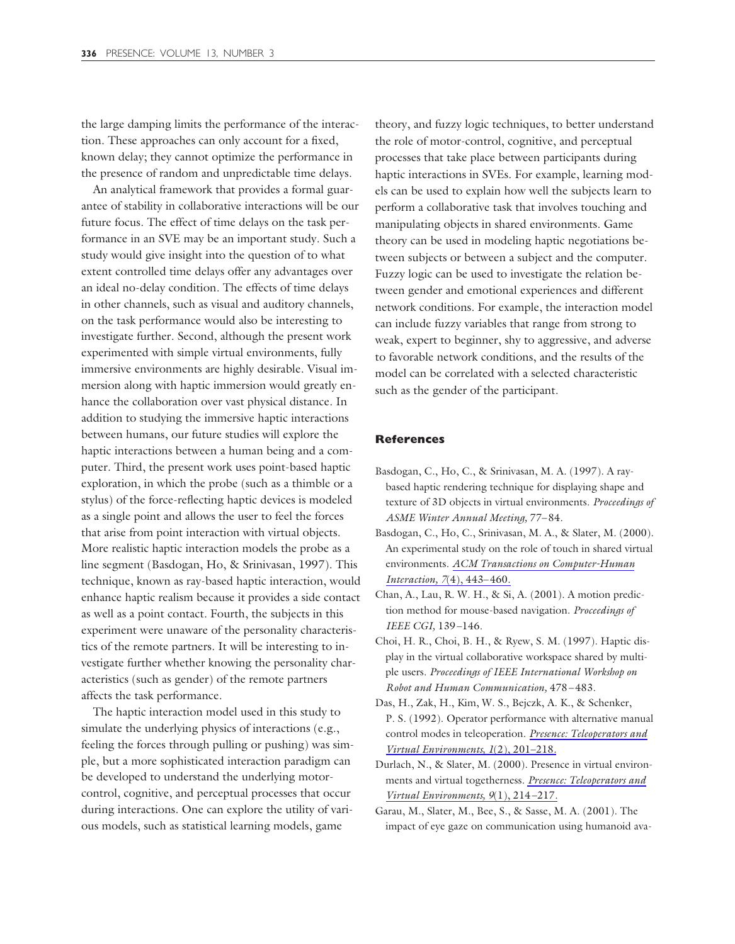the large damping limits the performance of the interaction. These approaches can only account for a fixed, known delay; they cannot optimize the performance in the presence of random and unpredictable time delays.

An analytical framework that provides a formal guarantee of stability in collaborative interactions will be our future focus. The effect of time delays on the task performance in an SVE may be an important study. Such a study would give insight into the question of to what extent controlled time delays offer any advantages over an ideal no-delay condition. The effects of time delays in other channels, such as visual and auditory channels, on the task performance would also be interesting to investigate further. Second, although the present work experimented with simple virtual environments, fully immersive environments are highly desirable. Visual immersion along with haptic immersion would greatly enhance the collaboration over vast physical distance. In addition to studying the immersive haptic interactions between humans, our future studies will explore the haptic interactions between a human being and a computer. Third, the present work uses point-based haptic exploration, in which the probe (such as a thimble or a stylus) of the force-reflecting haptic devices is modeled as a single point and allows the user to feel the forces that arise from point interaction with virtual objects. More realistic haptic interaction models the probe as a line segment (Basdogan, Ho, & Srinivasan, 1997). This technique, known as ray-based haptic interaction, would enhance haptic realism because it provides a side contact as well as a point contact. Fourth, the subjects in this experiment were unaware of the personality characteristics of the remote partners. It will be interesting to investigate further whether knowing the personality characteristics (such as gender) of the remote partners affects the task performance.

The haptic interaction model used in this study to simulate the underlying physics of interactions (e.g., feeling the forces through pulling or pushing) was simple, but a more sophisticated interaction paradigm can be developed to understand the underlying motorcontrol, cognitive, and perceptual processes that occur during interactions. One can explore the utility of various models, such as statistical learning models, game

theory, and fuzzy logic techniques, to better understand the role of motor-control, cognitive, and perceptual processes that take place between participants during haptic interactions in SVEs. For example, learning models can be used to explain how well the subjects learn to perform a collaborative task that involves touching and manipulating objects in shared environments. Game theory can be used in modeling haptic negotiations between subjects or between a subject and the computer. Fuzzy logic can be used to investigate the relation between gender and emotional experiences and different network conditions. For example, the interaction model can include fuzzy variables that range from strong to weak, expert to beginner, shy to aggressive, and adverse to favorable network conditions, and the results of the model can be correlated with a selected characteristic such as the gender of the participant.

## **References**

- Basdogan, C., Ho, C., & Srinivasan, M. A. (1997). A raybased haptic rendering technique for displaying shape and texture of 3D objects in virtual environments. *Proceedings of ASME Winter Annual Meeting,* 77–84.
- Basdogan, C., Ho, C., Srinivasan, M. A., & Slater, M. (2000). An experimental study on the role of touch in shared virtual environments. *ACM Transactions on Computer-Human Interaction, 7*(4), 443–460.
- Chan, A., Lau, R. W. H., & Si, A. (2001). A motion prediction method for mouse-based navigation. *Proceedings of IEEE CGI,* 139–146.
- Choi, H. R., Choi, B. H., & Ryew, S. M. (1997). Haptic display in the virtual collaborative workspace shared by multiple users. *Proceedings of IEEE International Workshop on Robot and Human Communication,* 478–483.
- Das, H., Zak, H., Kim, W. S., Bejczk, A. K., & Schenker, P. S. (1992). Operator performance with alternative manual control modes in teleoperation. *Presence: Teleoperators and Virtual Environments, 1*(2), 201–218.
- Durlach, N., & Slater, M. (2000). Presence in virtual environments and virtual togetherness. *Presence: Teleoperators and Virtual Environments, 9*(1), 214–217.
- Garau, M., Slater, M., Bee, S., & Sasse, M. A. (2001). The impact of eye gaze on communication using humanoid ava-